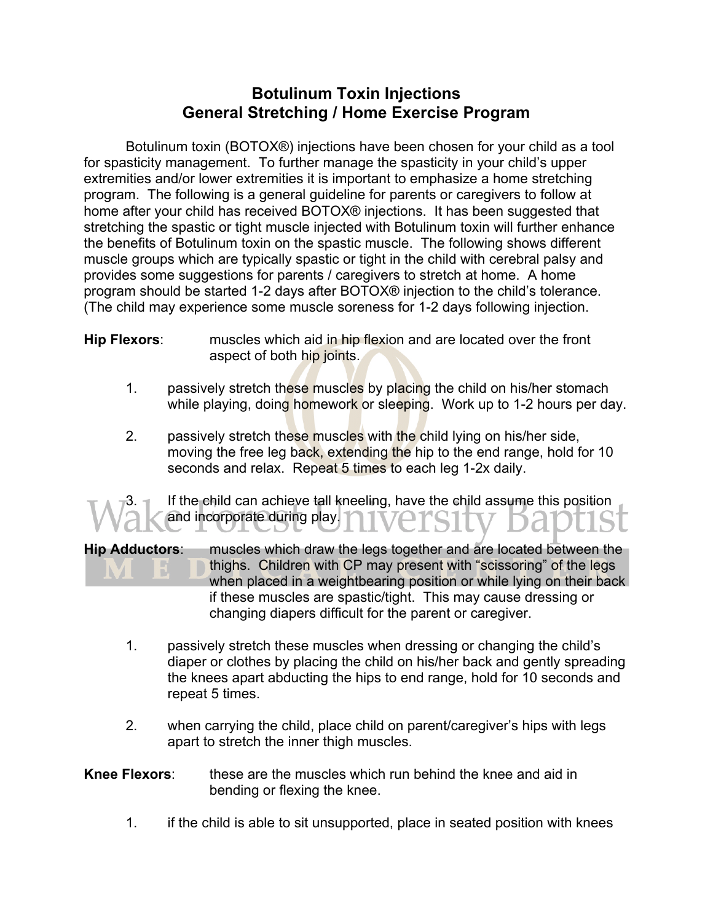## **Botulinum Toxin Injections General Stretching / Home Exercise Program**

Botulinum toxin (BOTOX®) injections have been chosen for your child as a tool for spasticity management. To further manage the spasticity in your child's upper extremities and/or lower extremities it is important to emphasize a home stretching program. The following is a general guideline for parents or caregivers to follow at home after your child has received BOTOX® injections. It has been suggested that stretching the spastic or tight muscle injected with Botulinum toxin will further enhance the benefits of Botulinum toxin on the spastic muscle. The following shows different muscle groups which are typically spastic or tight in the child with cerebral palsy and provides some suggestions for parents / caregivers to stretch at home. A home program should be started 1-2 days after BOTOX® injection to the child's tolerance. (The child may experience some muscle soreness for 1-2 days following injection.

- **Hip Flexors**: muscles which aid in hip flexion and are located over the front aspect of both hip joints.
	- 1. passively stretch these muscles by placing the child on his/her stomach while playing, doing homework or sleeping. Work up to 1-2 hours per day.
	- 2. passively stretch these muscles with the child lying on his/her side, moving the free leg back, extending the hip to the end range, hold for 10 seconds and relax. Repeat 5 times to each leg 1-2x daily.

If the child can achieve tall kneeling, have the child assume this position and incorporate during play.

**Hip Adductors**: muscles which draw the legs together and are located between the thighs. Children with CP may present with "scissoring" of the legs when placed in a weightbearing position or while lying on their back if these muscles are spastic/tight. This may cause dressing or changing diapers difficult for the parent or caregiver.

- 1. passively stretch these muscles when dressing or changing the child's diaper or clothes by placing the child on his/her back and gently spreading the knees apart abducting the hips to end range, hold for 10 seconds and repeat 5 times.
- 2. when carrying the child, place child on parent/caregiver's hips with legs apart to stretch the inner thigh muscles.

## **Knee Flexors:** these are the muscles which run behind the knee and aid in bending or flexing the knee.

1. if the child is able to sit unsupported, place in seated position with knees